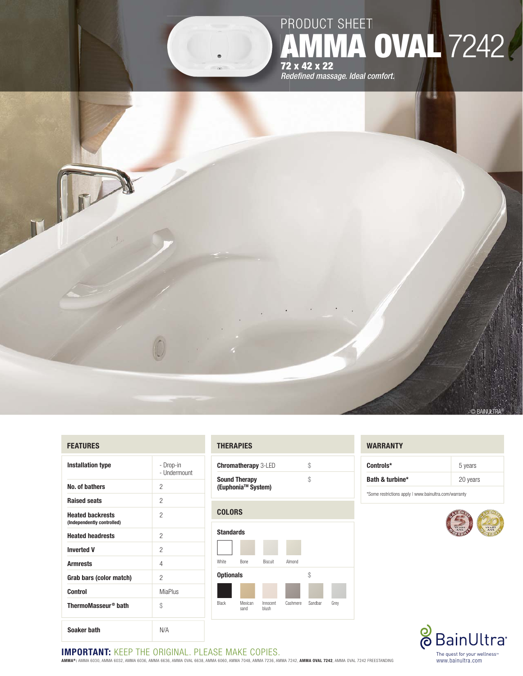

#### **FEATURES**

| <b>Installation type</b>                              | - Drop-in<br>- Undermount |
|-------------------------------------------------------|---------------------------|
| No. of bathers                                        | 2                         |
| <b>Raised seats</b>                                   | 2                         |
| <b>Heated backrests</b><br>(Independently controlled) | 2                         |
| <b>Heated headrests</b>                               | 2                         |
| <b>Inverted V</b>                                     | 2                         |
| <b>Armrests</b>                                       | 4                         |
| Grab bars (color match)                               | 2                         |
| <b>Control</b>                                        | <b>MiaPlus</b>            |
| ThermoMasseur <sup>®</sup> bath                       | \$                        |
| Soaker bath                                           | N/A                       |

#### **THERAPIES**

| <b>Chromatherapy 3-LED</b>                             | S. |
|--------------------------------------------------------|----|
| <b>Sound Therapy</b><br>(Euphonia <sup>™</sup> System) | Ж  |

# **COLORS Standards**  White Bone Biscuit Almond **Optionals**  $\qquad$ Black Mexican Innocent Cashmere Sandbar Grey sand blush

#### **WARRANTY**

| Controls*       | 5 years  |  |
|-----------------|----------|--|
| Bath & turbine* | 20 years |  |



## **IMPORTANT:** KEEP THE ORIGINAL. PLEASE MAKE COPIES.

**AMMA® :** AMMA 6030, AMMA 6032, AMMA 6036, AMMA 6636, AMMA OVAL 6638, AMMA 6060, AMMA 7048, AMMA 7236, AMMA 7242, **AMMA OVAL 7242**, AMMA OVAL 7242 FREESTANDING